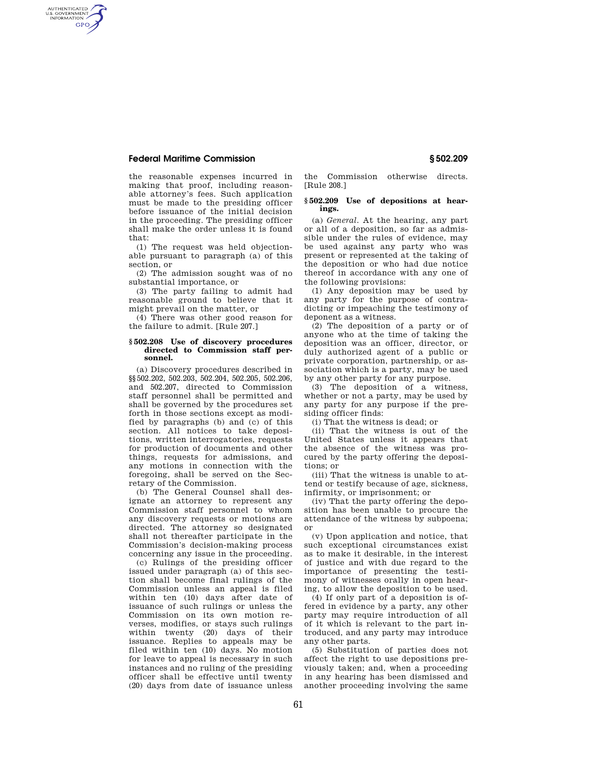## **Federal Maritime Commission § 502.209**

AUTHENTICATED<br>U.S. GOVERNMENT<br>INFORMATION **GPO** 

> the reasonable expenses incurred in making that proof, including reasonable attorney's fees. Such application must be made to the presiding officer before issuance of the initial decision in the proceeding. The presiding officer shall make the order unless it is found that:

> (1) The request was held objectionable pursuant to paragraph (a) of this section, or

> (2) The admission sought was of no substantial importance, or

> (3) The party failing to admit had reasonable ground to believe that it might prevail on the matter, or

(4) There was other good reason for the failure to admit. [Rule 207.]

## **§ 502.208 Use of discovery procedures directed to Commission staff personnel.**

(a) Discovery procedures described in §§502.202, 502.203, 502.204, 502.205, 502.206, and 502.207, directed to Commission staff personnel shall be permitted and shall be governed by the procedures set forth in those sections except as modified by paragraphs (b) and (c) of this section. All notices to take depositions, written interrogatories, requests for production of documents and other things, requests for admissions, and any motions in connection with the foregoing, shall be served on the Secretary of the Commission.

(b) The General Counsel shall designate an attorney to represent any Commission staff personnel to whom any discovery requests or motions are directed. The attorney so designated shall not thereafter participate in the Commission's decision-making process concerning any issue in the proceeding.

(c) Rulings of the presiding officer issued under paragraph (a) of this section shall become final rulings of the Commission unless an appeal is filed within ten (10) days after date of issuance of such rulings or unless the Commission on its own motion reverses, modifies, or stays such rulings within twenty (20) days of their issuance. Replies to appeals may be filed within ten (10) days. No motion for leave to appeal is necessary in such instances and no ruling of the presiding officer shall be effective until twenty (20) days from date of issuance unless

the Commission otherwise directs. [Rule 208.]

## **§ 502.209 Use of depositions at hearings.**

(a) *General.* At the hearing, any part or all of a deposition, so far as admissible under the rules of evidence, may be used against any party who was present or represented at the taking of the deposition or who had due notice thereof in accordance with any one of the following provisions:

(1) Any deposition may be used by any party for the purpose of contradicting or impeaching the testimony of deponent as a witness.

(2) The deposition of a party or of anyone who at the time of taking the deposition was an officer, director, or duly authorized agent of a public or private corporation, partnership, or association which is a party, may be used by any other party for any purpose.

(3) The deposition of a witness, whether or not a party, may be used by any party for any purpose if the presiding officer finds:

(i) That the witness is dead; or

(ii) That the witness is out of the United States unless it appears that the absence of the witness was procured by the party offering the depositions; or

(iii) That the witness is unable to attend or testify because of age, sickness, infirmity, or imprisonment; or

(iv) That the party offering the deposition has been unable to procure the attendance of the witness by subpoena; or

(v) Upon application and notice, that such exceptional circumstances exist as to make it desirable, in the interest of justice and with due regard to the importance of presenting the testimony of witnesses orally in open hearing, to allow the deposition to be used.

(4) If only part of a deposition is offered in evidence by a party, any other party may require introduction of all of it which is relevant to the part introduced, and any party may introduce any other parts.

(5) Substitution of parties does not affect the right to use depositions previously taken; and, when a proceeding in any hearing has been dismissed and another proceeding involving the same